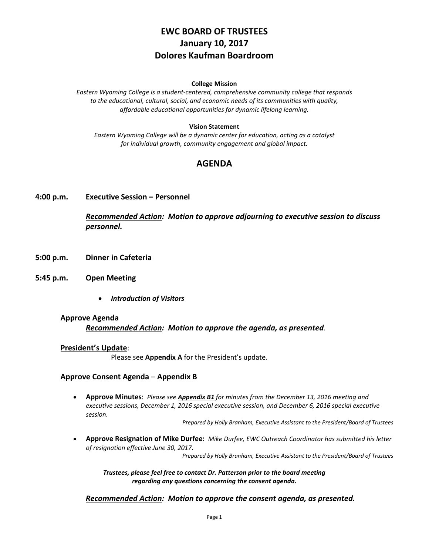# **EWC BOARD OF TRUSTEES January 10, 2017 Dolores Kaufman Boardroom**

#### **College Mission**

*Eastern Wyoming College is a student-centered, comprehensive community college that responds to the educational, cultural, social, and economic needs of its communities with quality, affordable educational opportunities for dynamic lifelong learning.*

#### **Vision Statement**

*Eastern Wyoming College will be a dynamic center for education, acting as a catalyst for individual growth, community engagement and global impact.*

## **AGENDA**

**4:00 p.m. Executive Session – Personnel**

*Recommended Action: Motion to approve adjourning to executive session to discuss personnel.*

- **5:00 p.m. Dinner in Cafeteria**
- **5:45 p.m. Open Meeting**
	- *Introduction of Visitors*

#### **Approve Agenda**

*Recommended Action: Motion to approve the agenda, as presented.*

#### **President's Update**:

Please see **Appendix A** for the President's update.

#### **Approve Consent Agenda** – **Appendix B**

• **Approve Minutes**: *Please see Appendix B1 for minutes from the December 13, 2016 meeting and executive sessions, December 1, 2016 special executive session, and December 6, 2016 special executive session.*

*Prepared by Holly Branham, Executive Assistant to the President/Board of Trustees*

• **Approve Resignation of Mike Durfee:** *Mike Durfee, EWC Outreach Coordinator has submitted his letter of resignation effective June 30, 2017*.

*Prepared by Holly Branham, Executive Assistant to the President/Board of Trustees*

*Trustees, please feel free to contact Dr. Patterson prior to the board meeting regarding any questions concerning the consent agenda.*

#### *Recommended Action: Motion to approve the consent agenda, as presented.*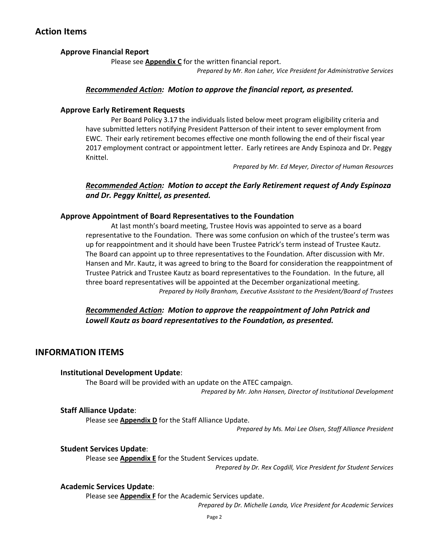## **Action Items**

### **Approve Financial Report**

Please see **Appendix C** for the written financial report.

*Prepared by Mr. Ron Laher, Vice President for Administrative Services*

### *Recommended Action: Motion to approve the financial report, as presented.*

### **Approve Early Retirement Requests**

Per Board Policy 3.17 the individuals listed below meet program eligibility criteria and have submitted letters notifying President Patterson of their intent to sever employment from EWC. Their early retirement becomes effective one month following the end of their fiscal year 2017 employment contract or appointment letter. Early retirees are Andy Espinoza and Dr. Peggy Knittel.

*Prepared by Mr. Ed Meyer, Director of Human Resources*

### *Recommended Action: Motion to accept the Early Retirement request of Andy Espinoza and Dr. Peggy Knittel, as presented.*

### **Approve Appointment of Board Representatives to the Foundation**

At last month's board meeting, Trustee Hovis was appointed to serve as a board representative to the Foundation. There was some confusion on which of the trustee's term was up for reappointment and it should have been Trustee Patrick's term instead of Trustee Kautz. The Board can appoint up to three representatives to the Foundation. After discussion with Mr. Hansen and Mr. Kautz, it was agreed to bring to the Board for consideration the reappointment of Trustee Patrick and Trustee Kautz as board representatives to the Foundation. In the future, all three board representatives will be appointed at the December organizational meeting. *Prepared by Holly Branham, Executive Assistant to the President/Board of Trustees*

*Recommended Action: Motion to approve the reappointment of John Patrick and Lowell Kautz as board representatives to the Foundation, as presented.*

## **INFORMATION ITEMS**

### **Institutional Development Update**:

The Board will be provided with an update on the ATEC campaign.

*Prepared by Mr. John Hansen, Director of Institutional Development*

### **Staff Alliance Update**:

Please see **Appendix D** for the Staff Alliance Update.

*Prepared by Ms. Mai Lee Olsen, Staff Alliance President* 

### **Student Services Update**:

Please see **Appendix E** for the Student Services update.

*Prepared by Dr. Rex Cogdill, Vice President for Student Services*

#### **Academic Services Update**:

Please see **Appendix F** for the Academic Services update.

*Prepared by Dr. Michelle Landa, Vice President for Academic Services*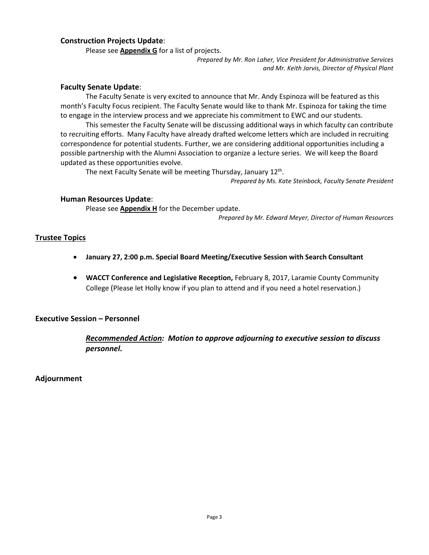### **Construction Projects Update**:

Please see **Appendix G** for a list of projects.

*Prepared by Mr. Ron Laher, Vice President for Administrative Services and Mr. Keith Jarvis, Director of Physical Plant*

#### **Faculty Senate Update**:

The Faculty Senate is very excited to announce that Mr. Andy Espinoza will be featured as this month's Faculty Focus recipient. The Faculty Senate would like to thank Mr. Espinoza for taking the time to engage in the interview process and we appreciate his commitment to EWC and our students.

This semester the Faculty Senate will be discussing additional ways in which faculty can contribute to recruiting efforts. Many Faculty have already drafted welcome letters which are included in recruiting correspondence for potential students. Further, we are considering additional opportunities including a possible partnership with the Alumni Association to organize a lecture series. We will keep the Board updated as these opportunities evolve.

The next Faculty Senate will be meeting Thursday, January 12<sup>th</sup>.

*Prepared by Ms. Kate Steinbock, Faculty Senate President*

#### **Human Resources Update**:

Please see **Appendix H** for the December update.

*Prepared by Mr. Edward Meyer, Director of Human Resources*

### **Trustee Topics**

- **January 27, 2:00 p.m. Special Board Meeting/Executive Session with Search Consultant**
- **WACCT Conference and Legislative Reception,** February 8, 2017, Laramie County Community College (Please let Holly know if you plan to attend and if you need a hotel reservation.)

### **Executive Session – Personnel**

*Recommended Action: Motion to approve adjourning to executive session to discuss personnel.*

**Adjournment**